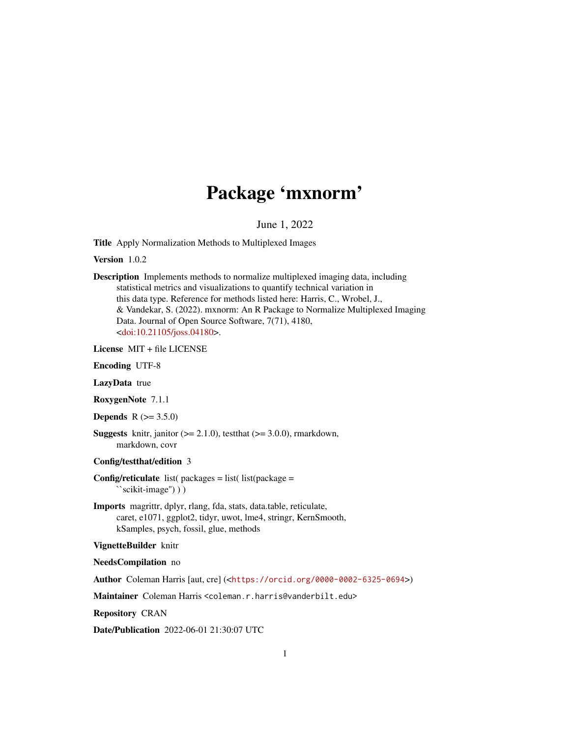# Package 'mxnorm'

June 1, 2022

Title Apply Normalization Methods to Multiplexed Images

Version 1.0.2

Description Implements methods to normalize multiplexed imaging data, including statistical metrics and visualizations to quantify technical variation in this data type. Reference for methods listed here: Harris, C., Wrobel, J., & Vandekar, S. (2022). mxnorm: An R Package to Normalize Multiplexed Imaging Data. Journal of Open Source Software, 7(71), 4180, [<doi:10.21105/joss.04180>](https://doi.org/10.21105/joss.04180).

License MIT + file LICENSE

Encoding UTF-8

LazyData true

RoxygenNote 7.1.1

**Depends**  $R (= 3.5.0)$ 

**Suggests** knitr, janitor  $(>= 2.1.0)$ , test that  $(>= 3.0.0)$ , rmarkdown, markdown, covr

Config/testthat/edition 3

**Config/reticulate** list( $\text{packages} = \text{list}(\text{list}(\text{package} =$ ``scikit-image'') ) )

Imports magrittr, dplyr, rlang, fda, stats, data.table, reticulate, caret, e1071, ggplot2, tidyr, uwot, lme4, stringr, KernSmooth, kSamples, psych, fossil, glue, methods

#### VignetteBuilder knitr

NeedsCompilation no

Author Coleman Harris [aut, cre] (<<https://orcid.org/0000-0002-6325-0694>>)

Maintainer Coleman Harris <coleman.r.harris@vanderbilt.edu>

Repository CRAN

Date/Publication 2022-06-01 21:30:07 UTC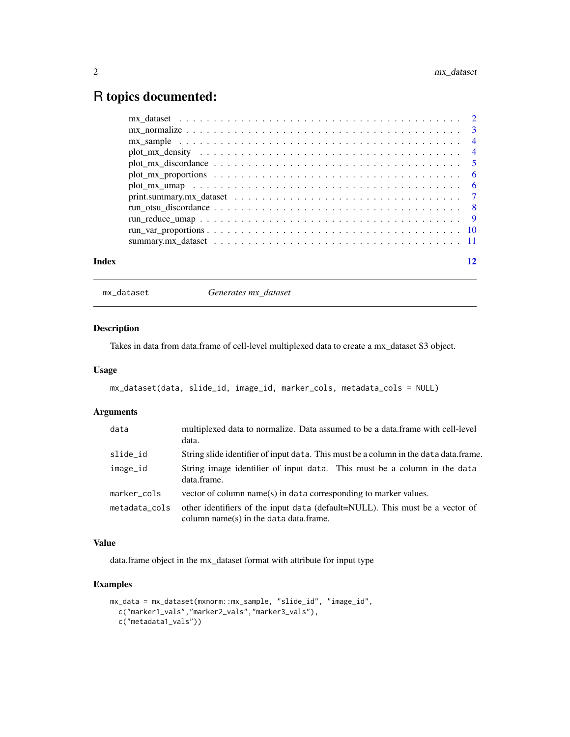# <span id="page-1-0"></span>R topics documented:

| Index |                                                                                                                       | 12 |
|-------|-----------------------------------------------------------------------------------------------------------------------|----|
|       |                                                                                                                       |    |
|       | $run\_var\_proportions \ldots \ldots \ldots \ldots \ldots \ldots \ldots \ldots \ldots \ldots \ldots \ldots \ldots 10$ |    |
|       |                                                                                                                       |    |
|       |                                                                                                                       |    |
|       |                                                                                                                       |    |
|       |                                                                                                                       |    |
|       |                                                                                                                       |    |
|       |                                                                                                                       |    |
|       |                                                                                                                       |    |
|       |                                                                                                                       |    |
|       |                                                                                                                       |    |
|       |                                                                                                                       |    |

mx\_dataset *Generates mx\_dataset*

#### Description

Takes in data from data.frame of cell-level multiplexed data to create a mx\_dataset S3 object.

#### Usage

```
mx_dataset(data, slide_id, image_id, marker_cols, metadata_cols = NULL)
```
# Arguments

| data          | multiplexed data to normalize. Data assumed to be a data.frame with cell-level<br>data.                                   |
|---------------|---------------------------------------------------------------------------------------------------------------------------|
| slide_id      | String slide identifier of input data. This must be a column in the data data.frame.                                      |
| image_id      | String image identifier of input data. This must be a column in the data<br>data.frame.                                   |
| marker_cols   | vector of column name(s) in data corresponding to marker values.                                                          |
| metadata_cols | other identifiers of the input data (default=NULL). This must be a vector of<br>column name $(s)$ in the data data frame. |

# Value

data.frame object in the mx\_dataset format with attribute for input type

```
mx_data = mx_dataset(mxnorm::mx_sample, "slide_id", "image_id",
  c("marker1_vals","marker2_vals","marker3_vals"),
  c("metadata1_vals"))
```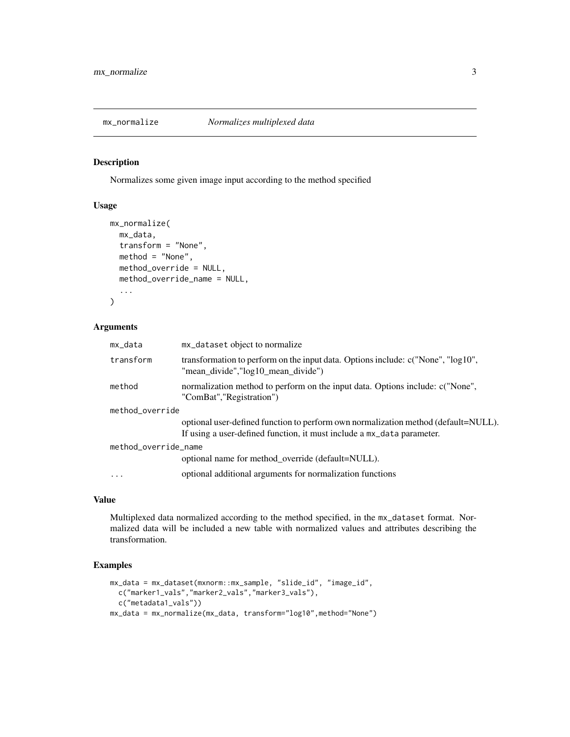<span id="page-2-0"></span>

#### Description

Normalizes some given image input according to the method specified

# Usage

```
mx_normalize(
  mx_data,
  transform = "None",
  method = "None",
  method_override = NULL,
  method_override_name = NULL,
  ...
\mathcal{E}
```
# Arguments

| mx_data              | mx_dataset object to normalize                                                                                                                                  |
|----------------------|-----------------------------------------------------------------------------------------------------------------------------------------------------------------|
| transform            | transformation to perform on the input data. Options include: $c("None", "log10",$<br>"mean_divide","log10_mean_divide")                                        |
| method               | normalization method to perform on the input data. Options include: c("None",<br>"ComBat", "Registration")                                                      |
| method_override      |                                                                                                                                                                 |
|                      | optional user-defined function to perform own normalization method (default=NULL).<br>If using a user-defined function, it must include a $mx$ -data parameter. |
| method_override_name |                                                                                                                                                                 |
|                      | optional name for method_override (default=NULL).                                                                                                               |
| .                    | optional additional arguments for normalization functions                                                                                                       |

#### Value

Multiplexed data normalized according to the method specified, in the mx\_dataset format. Normalized data will be included a new table with normalized values and attributes describing the transformation.

```
mx_data = mx_dataset(mxnorm::mx_sample, "slide_id", "image_id",
  c("marker1_vals","marker2_vals","marker3_vals"),
  c("metadata1_vals"))
mx_data = mx_normalize(mx_data, transform="log10",method="None")
```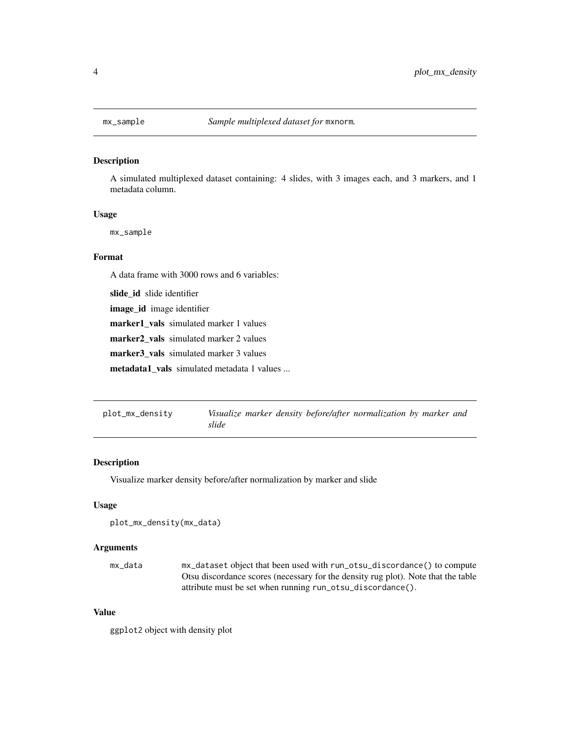<span id="page-3-0"></span>

#### Description

A simulated multiplexed dataset containing: 4 slides, with 3 images each, and 3 markers, and 1 metadata column.

# Usage

mx\_sample

# Format

A data frame with 3000 rows and 6 variables:

slide\_id slide identifier

image\_id image identifier

marker1\_vals simulated marker 1 values

marker2\_vals simulated marker 2 values

marker3\_vals simulated marker 3 values

metadata1\_vals simulated metadata 1 values ...

| plot_mx_density |       |  | Visualize marker density before/after normalization by marker and |  |  |
|-----------------|-------|--|-------------------------------------------------------------------|--|--|
|                 | slide |  |                                                                   |  |  |

#### Description

Visualize marker density before/after normalization by marker and slide

#### Usage

```
plot_mx_density(mx_data)
```
# Arguments

| mx data | mx_dataset object that been used with run_otsu_discordance() to compute           |
|---------|-----------------------------------------------------------------------------------|
|         | Otsu discordance scores (necessary for the density rug plot). Note that the table |
|         | attribute must be set when running run_otsu_discordance().                        |

# Value

ggplot2 object with density plot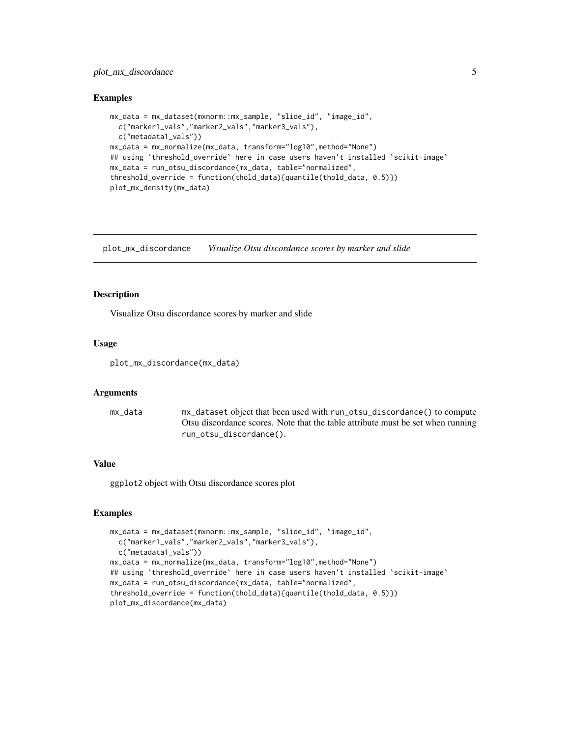# <span id="page-4-0"></span>plot\_mx\_discordance 5

#### Examples

```
mx_data = mx_dataset(mxnorm::mx_sample, "slide_id", "image_id",
  c("marker1_vals","marker2_vals","marker3_vals"),
  c("metadata1_vals"))
mx_data = mx_normalize(mx_data, transform="log10",method="None")
## using `threshold_override` here in case users haven't installed `scikit-image`
mx_data = run_otsu_discordance(mx_data, table="normalized",
threshold_override = function(thold_data){quantile(thold_data, 0.5)})
plot_mx_density(mx_data)
```
plot\_mx\_discordance *Visualize Otsu discordance scores by marker and slide*

#### Description

Visualize Otsu discordance scores by marker and slide

#### Usage

```
plot_mx_discordance(mx_data)
```
#### Arguments

| mx data | mx_dataset object that been used with run_otsu_discordance() to compute         |
|---------|---------------------------------------------------------------------------------|
|         | Otsu discordance scores. Note that the table attribute must be set when running |
|         | run_otsu_discordance().                                                         |

#### Value

ggplot2 object with Otsu discordance scores plot

```
mx_data = mx_dataset(mxnorm::mx_sample, "slide_id", "image_id",
  c("marker1_vals","marker2_vals","marker3_vals"),
  c("metadata1_vals"))
mx_data = mx_normalize(mx_data, transform="log10",method="None")
## using `threshold_override` here in case users haven't installed `scikit-image`
mx_data = run_otsu_discordance(mx_data, table="normalized",
threshold_override = function(thold_data){quantile(thold_data, 0.5)})
plot_mx_discordance(mx_data)
```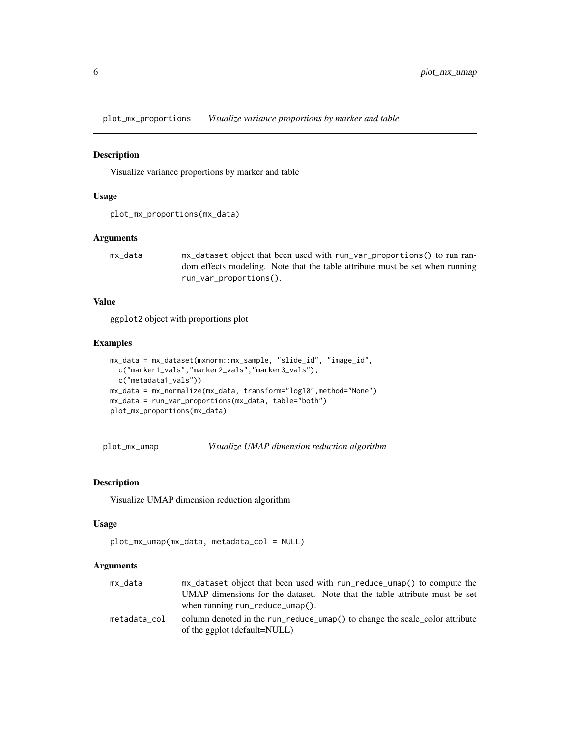<span id="page-5-0"></span>plot\_mx\_proportions *Visualize variance proportions by marker and table*

#### Description

Visualize variance proportions by marker and table

#### Usage

```
plot_mx_proportions(mx_data)
```
#### Arguments

```
mx_data mx_dataset object that been used with run_var_proportions() to run ran-
                dom effects modeling. Note that the table attribute must be set when running
                run_var_proportions().
```
# Value

ggplot2 object with proportions plot

# Examples

```
mx_data = mx_dataset(mxnorm::mx_sample, "slide_id", "image_id",
  c("marker1_vals","marker2_vals","marker3_vals"),
  c("metadata1_vals"))
mx_data = mx_normalize(mx_data, transform="log10",method="None")
mx_data = run_var_proportions(mx_data, table="both")
plot_mx_proportions(mx_data)
```
plot\_mx\_umap *Visualize UMAP dimension reduction algorithm*

#### Description

Visualize UMAP dimension reduction algorithm

#### Usage

```
plot_mx_umap(mx_data, metadata_col = NULL)
```
#### Arguments

| mx_data      | mx_dataset object that been used with run_reduce_umap() to compute the      |
|--------------|-----------------------------------------------------------------------------|
|              | UMAP dimensions for the dataset. Note that the table attribute must be set  |
|              | when running $run\_reduce\_umap()$ .                                        |
| metadata col | column denoted in the run_reduce_umap() to change the scale color attribute |
|              | of the ggplot (default=NULL)                                                |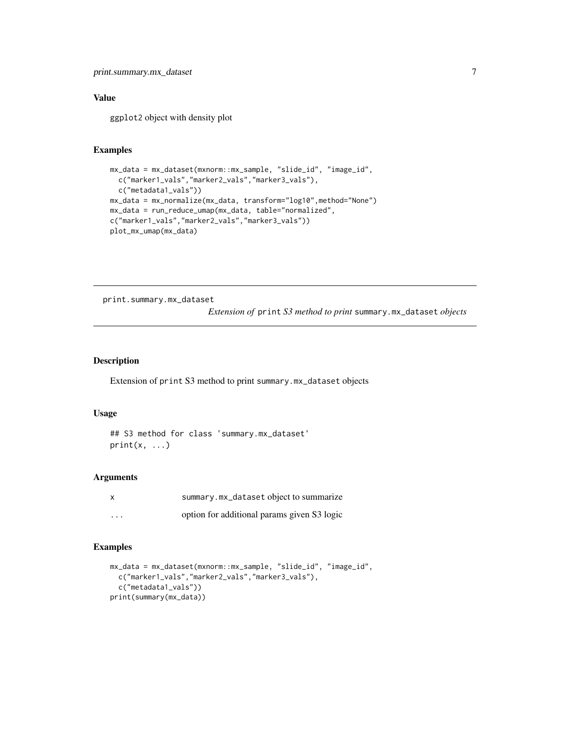# <span id="page-6-0"></span>Value

ggplot2 object with density plot

# Examples

```
mx_data = mx_dataset(mxnorm::mx_sample, "slide_id", "image_id",
  c("marker1_vals","marker2_vals","marker3_vals"),
  c("metadata1_vals"))
mx_data = mx_normalize(mx_data, transform="log10",method="None")
mx_data = run_reduce_umap(mx_data, table="normalized",
c("marker1_vals","marker2_vals","marker3_vals"))
plot_mx_umap(mx_data)
```
print.summary.mx\_dataset

*Extension of* print *S3 method to print* summary.mx\_dataset *objects*

#### Description

Extension of print S3 method to print summary.mx\_dataset objects

# Usage

```
## S3 method for class 'summary.mx_dataset'
print(x, \ldots)
```
# Arguments

|          | summary.mx_dataset object to summarize      |
|----------|---------------------------------------------|
| $\cdots$ | option for additional params given S3 logic |

```
mx_data = mx_dataset(mxnorm::mx_sample, "slide_id", "image_id",
  c("marker1_vals","marker2_vals","marker3_vals"),
  c("metadata1_vals"))
print(summary(mx_data))
```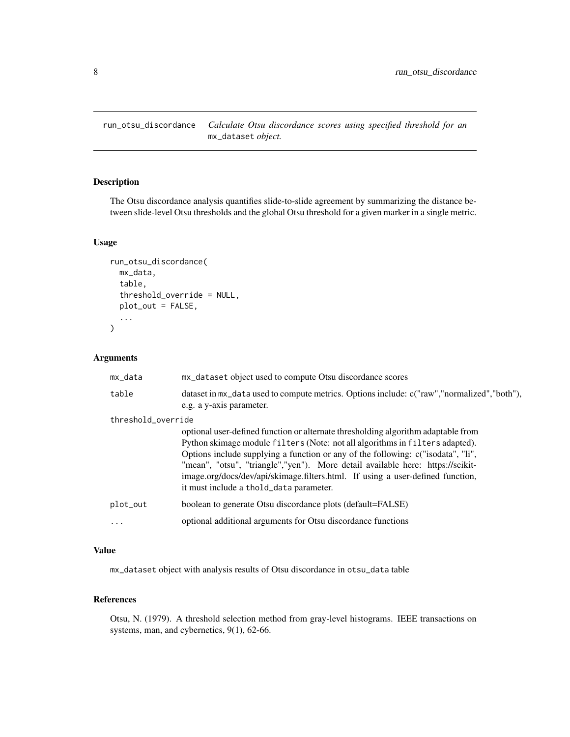<span id="page-7-0"></span>run\_otsu\_discordance *Calculate Otsu discordance scores using specified threshold for an* mx\_dataset *object.*

# Description

The Otsu discordance analysis quantifies slide-to-slide agreement by summarizing the distance between slide-level Otsu thresholds and the global Otsu threshold for a given marker in a single metric.

# Usage

```
run_otsu_discordance(
  mx_data,
  table,
  threshold_override = NULL,
  plot_out = FALSE,
  ...
\mathcal{L}
```
# Arguments

| mx_data            | mx_dataset object used to compute Otsu discordance scores                                                                                                                                                                                                                                                                                                                                                                                                            |
|--------------------|----------------------------------------------------------------------------------------------------------------------------------------------------------------------------------------------------------------------------------------------------------------------------------------------------------------------------------------------------------------------------------------------------------------------------------------------------------------------|
| table              | dataset in $mx$ data used to compute metrics. Options include: c("raw","normalized","both"),<br>e.g. a y-axis parameter.                                                                                                                                                                                                                                                                                                                                             |
| threshold_override |                                                                                                                                                                                                                                                                                                                                                                                                                                                                      |
|                    | optional user-defined function or alternate thresholding algorithm adaptable from<br>Python skimage module filters (Note: not all algorithms in filters adapted).<br>Options include supplying a function or any of the following: c("isodata", "li",<br>"mean", "otsu", "triangle","yen"). More detail available here: https://scikit-<br>image.org/docs/dev/api/skimage.filters.html. If using a user-defined function,<br>it must include a thold_data parameter. |
| plot_out           | boolean to generate Otsu discordance plots (default=FALSE)                                                                                                                                                                                                                                                                                                                                                                                                           |
|                    | optional additional arguments for Otsu discordance functions                                                                                                                                                                                                                                                                                                                                                                                                         |

# Value

mx\_dataset object with analysis results of Otsu discordance in otsu\_data table

# References

Otsu, N. (1979). A threshold selection method from gray-level histograms. IEEE transactions on systems, man, and cybernetics, 9(1), 62-66.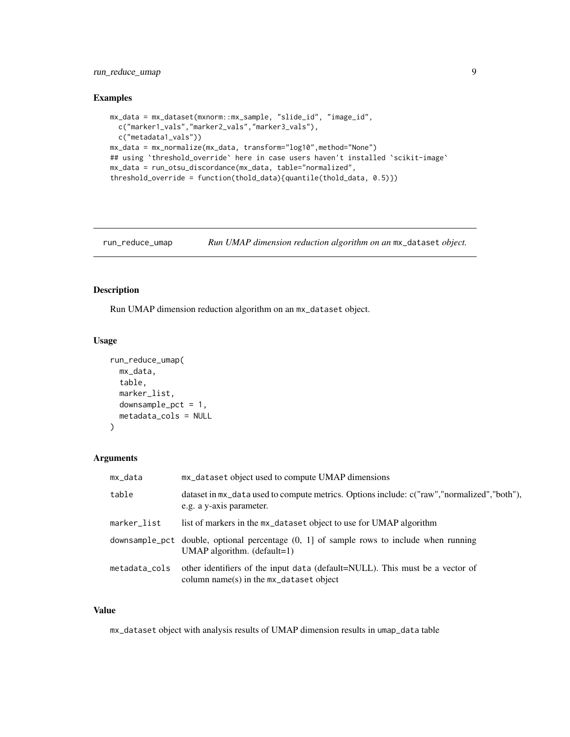# <span id="page-8-0"></span>run\_reduce\_umap 9

#### Examples

```
mx_data = mx_dataset(mxnorm::mx_sample, "slide_id", "image_id",
  c("marker1_vals","marker2_vals","marker3_vals"),
  c("metadata1_vals"))
mx_data = mx_normalize(mx_data, transform="log10",method="None")
## using `threshold_override` here in case users haven't installed `scikit-image`
mx_data = run_otsu_discordance(mx_data, table="normalized",
threshold_override = function(thold_data){quantile(thold_data, 0.5)})
```

```
run_reduce_umap Run UMAP dimension reduction algorithm on an mx_dataset object.
```
#### Description

Run UMAP dimension reduction algorithm on an mx\_dataset object.

# Usage

```
run_reduce_umap(
 mx_data,
  table,
  marker_list,
  downsample\_pot = 1,
  metadata_cols = NULL
\lambda
```
#### Arguments

| mx_data     | mx_dataset object used to compute UMAP dimensions                                                                                       |
|-------------|-----------------------------------------------------------------------------------------------------------------------------------------|
| table       | dataset in $mx$ data used to compute metrics. Options include: c("raw","normalized","both"),<br>e.g. a y-axis parameter.                |
| marker_list | list of markers in the $mx$ -dataset object to use for UMAP algorithm                                                                   |
|             | downsample_pct double, optional percentage $(0, 1]$ of sample rows to include when running<br>UMAP algorithm. $(detault=1)$             |
|             | metadata_cols other identifiers of the input data (default=NULL). This must be a vector of<br>column name(s) in the $mx$ dataset object |

# Value

mx\_dataset object with analysis results of UMAP dimension results in umap\_data table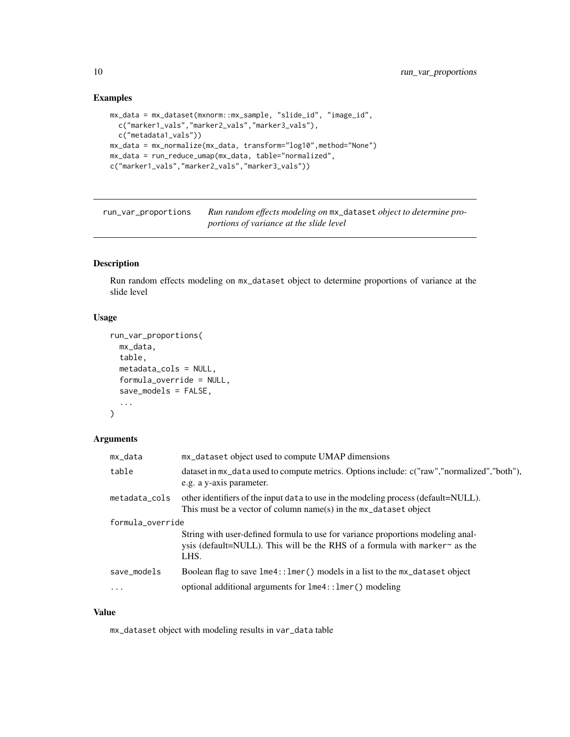# Examples

```
mx_data = mx_dataset(mxnorm::mx_sample, "slide_id", "image_id",
  c("marker1_vals","marker2_vals","marker3_vals"),
  c("metadata1_vals"))
mx_data = mx_normalize(mx_data, transform="log10",method="None")
mx_data = run_reduce_umap(mx_data, table="normalized",
c("marker1_vals","marker2_vals","marker3_vals"))
```
run\_var\_proportions *Run random effects modeling on* mx\_dataset *object to determine proportions of variance at the slide level*

# Description

Run random effects modeling on mx\_dataset object to determine proportions of variance at the slide level

# Usage

```
run_var_proportions(
 mx_data,
  table,
 metadata_cols = NULL,
 formula_override = NULL,
 save_models = FALSE,
  ...
)
```
#### Arguments

| mx_data          | mx_dataset object used to compute UMAP dimensions                                                                                                                           |
|------------------|-----------------------------------------------------------------------------------------------------------------------------------------------------------------------------|
| table            | dataset in $mx$ -data used to compute metrics. Options include: c("raw","normalized","both"),<br>e.g. a y-axis parameter.                                                   |
| metadata_cols    | other identifiers of the input data to use in the modeling process (default=NULL).<br>This must be a vector of column name(s) in the $mx$ -dataset object                   |
| formula_override |                                                                                                                                                                             |
|                  | String with user-defined formula to use for variance proportions modeling anal-<br>ysis (default=NULL). This will be the RHS of a formula with marker $\sim$ as the<br>LHS. |
| save_models      | Boolean flag to save $l$ me4:: $l$ mer() models in a list to the mx_dataset object                                                                                          |
| $\cdot$          | optional additional arguments for lme4:: lmer() modeling                                                                                                                    |

#### Value

mx\_dataset object with modeling results in var\_data table

<span id="page-9-0"></span>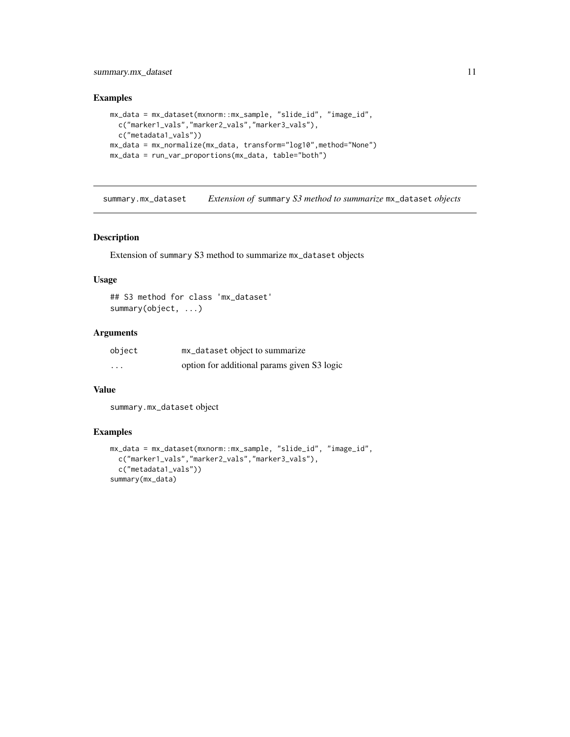# <span id="page-10-0"></span>summary.mx\_dataset 11

# Examples

```
mx_data = mx_dataset(mxnorm::mx_sample, "slide_id", "image_id",
  c("marker1_vals","marker2_vals","marker3_vals"),
  c("metadata1_vals"))
mx_data = mx_normalize(mx_data, transform="log10",method="None")
mx_data = run_var_proportions(mx_data, table="both")
```
summary.mx\_dataset *Extension of* summary *S3 method to summarize* mx\_dataset *objects*

#### Description

Extension of summary S3 method to summarize mx\_dataset objects

#### Usage

```
## S3 method for class 'mx_dataset'
summary(object, ...)
```
# Arguments

| object   | mx_dataset object to summarize              |
|----------|---------------------------------------------|
| $\cdots$ | option for additional params given S3 logic |

# Value

summary.mx\_dataset object

```
mx_data = mx_dataset(mxnorm::mx_sample, "slide_id", "image_id",
  c("marker1_vals","marker2_vals","marker3_vals"),
  c("metadata1_vals"))
summary(mx_data)
```